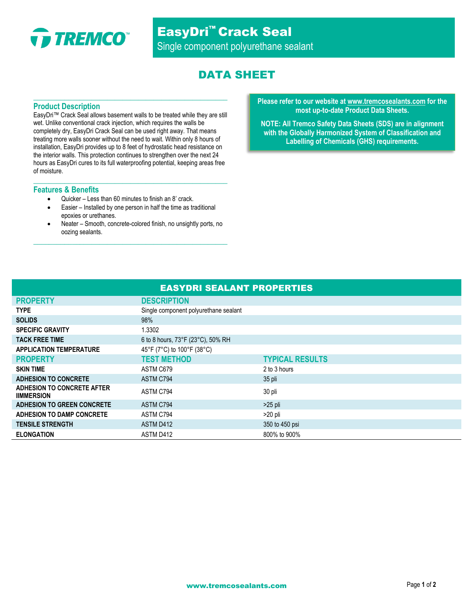

# EasyDri™ Crack Seal Single component polyurethane sealant

# DATA SHEET

## **Product Description**

EasyDri™ Crack Seal allows basement walls to be treated while they are still wet. Unlike conventional crack injection, which requires the walls be completely dry, EasyDri Crack Seal can be used right away. That means treating more walls sooner without the need to wait. Within only 8 hours of installation, EasyDri provides up to 8 feet of hydrostatic head resistance on the interior walls. This protection continues to strengthen over the next 24 hours as EasyDri cures to its full waterproofing potential, keeping areas free of moisture.

**\_\_\_\_\_\_\_\_\_\_\_\_\_\_\_\_\_\_\_\_\_\_\_\_\_\_\_\_\_\_\_\_\_\_\_\_\_\_\_\_\_\_\_\_\_\_\_\_\_\_**

**\_\_\_\_\_\_\_\_\_\_\_\_\_\_\_\_\_\_\_\_\_\_\_\_\_\_\_\_\_\_\_\_\_\_\_\_\_\_\_\_\_\_\_\_\_\_\_\_\_\_**

### **Features & Benefits**

- Quicker Less than 60 minutes to finish an 8' crack.
- Easier Installed by one person in half the time as traditional epoxies or urethanes.
- Neater Smooth, concrete-colored finish, no unsightly ports, no oozing sealants.

**\_\_\_\_\_\_\_\_\_\_\_\_\_\_\_\_\_\_\_\_\_\_\_\_\_\_\_\_\_\_\_\_\_\_\_\_\_\_\_\_\_\_\_\_\_\_\_\_\_\_**

#### **Please refer to our website at [www.tremcosealants.com](http://www.tremcosealants.com/) for the most up-to-date Product Data Sheets.**

**NOTE: All Tremco Safety Data Sheets (SDS) are in alignment with the Globally Harmonized System of Classification and Labelling of Chemicals (GHS) requirements.**

| <b>EASYDRI SEALANT PROPERTIES</b>               |                                       |                        |
|-------------------------------------------------|---------------------------------------|------------------------|
| <b>PROPERTY</b>                                 | <b>DESCRIPTION</b>                    |                        |
| <b>TYPE</b>                                     | Single component polyurethane sealant |                        |
| <b>SOLIDS</b>                                   | 98%                                   |                        |
| <b>SPECIFIC GRAVITY</b>                         | 1.3302                                |                        |
| <b>TACK FREE TIME</b>                           | 6 to 8 hours, 73°F (23°C), 50% RH     |                        |
| <b>APPLICATION TEMPERATURE</b>                  | 45°F (7°C) to 100°F (38°C)            |                        |
| <b>PROPERTY</b>                                 | <b>TEST METHOD</b>                    | <b>TYPICAL RESULTS</b> |
| <b>SKIN TIME</b>                                | ASTM C679                             | 2 to 3 hours           |
| <b>ADHESION TO CONCRETE</b>                     | ASTM C794                             | 35 pli                 |
| ADHESION TO CONCRETE AFTER<br><b>IIMMERSION</b> | ASTM C794                             | 30 pli                 |
| <b>ADHESION TO GREEN CONCRETE</b>               | ASTM C794                             | $>25$ pli              |
| ADHESION TO DAMP CONCRETE                       | ASTM C794                             | $>20$ pli              |
| <b>TENSILE STRENGTH</b>                         | ASTM D412                             | 350 to 450 psi         |
| <b>ELONGATION</b>                               | ASTM D412                             | 800% to 900%           |